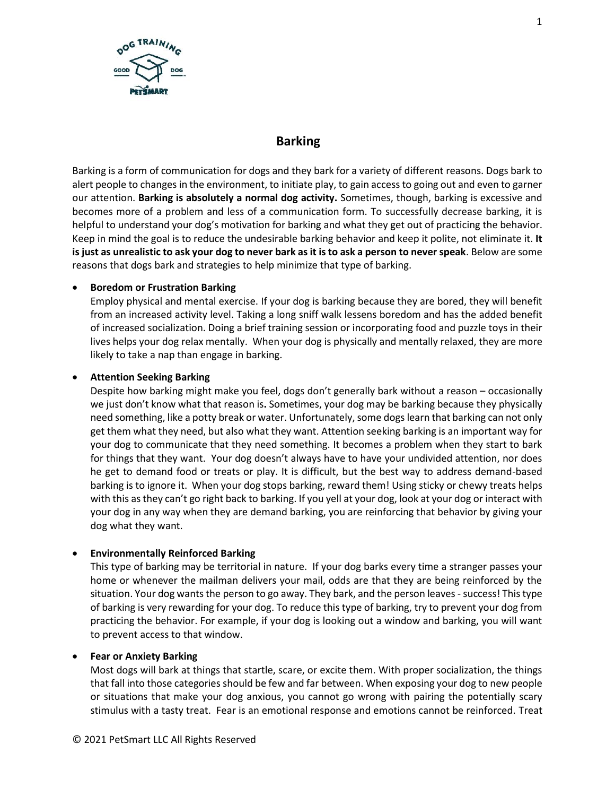

# **Barking**

Barking is a form of communication for dogs and they bark for a variety of different reasons. Dogs bark to alert people to changes in the environment, to initiate play, to gain access to going out and even to garner our attention. **Barking is absolutely a normal dog activity.** Sometimes, though, barking is excessive and becomes more of a problem and less of a communication form. To successfully decrease barking, it is helpful to understand your dog's motivation for barking and what they get out of practicing the behavior. Keep in mind the goal is to reduce the undesirable barking behavior and keep it polite, not eliminate it. **It is just as unrealistic to ask your dog to never bark as it is to ask a person to never speak**. Below are some reasons that dogs bark and strategies to help minimize that type of barking.

### • **Boredom or Frustration Barking**

Employ physical and mental exercise. If your dog is barking because they are bored, they will benefit from an increased activity level. Taking a long sniff walk lessens boredom and has the added benefit of increased socialization. Doing a brief training session or incorporating food and puzzle toys in their lives helps your dog relax mentally. When your dog is physically and mentally relaxed, they are more likely to take a nap than engage in barking.

### • **Attention Seeking Barking**

Despite how barking might make you feel, dogs don't generally bark without a reason – occasionally we just don't know what that reason is**.** Sometimes, your dog may be barking because they physically need something, like a potty break or water. Unfortunately, some dogs learn that barking can not only get them what they need, but also what they want. Attention seeking barking is an important way for your dog to communicate that they need something. It becomes a problem when they start to bark for things that they want. Your dog doesn't always have to have your undivided attention, nor does he get to demand food or treats or play. It is difficult, but the best way to address demand-based barking is to ignore it. When your dog stops barking, reward them! Using sticky or chewy treats helps with this as they can't go right back to barking. If you yell at your dog, look at your dog or interact with your dog in any way when they are demand barking, you are reinforcing that behavior by giving your dog what they want.

# • **Environmentally Reinforced Barking**

This type of barking may be territorial in nature. If your dog barks every time a stranger passes your home or whenever the mailman delivers your mail, odds are that they are being reinforced by the situation. Your dog wants the person to go away. They bark, and the person leaves - success! This type of barking is very rewarding for your dog. To reduce this type of barking, try to prevent your dog from practicing the behavior. For example, if your dog is looking out a window and barking, you will want to prevent access to that window.

#### • **Fear or Anxiety Barking**

Most dogs will bark at things that startle, scare, or excite them. With proper socialization, the things that fall into those categories should be few and far between. When exposing your dog to new people or situations that make your dog anxious, you cannot go wrong with pairing the potentially scary stimulus with a tasty treat. Fear is an emotional response and emotions cannot be reinforced. Treat

1